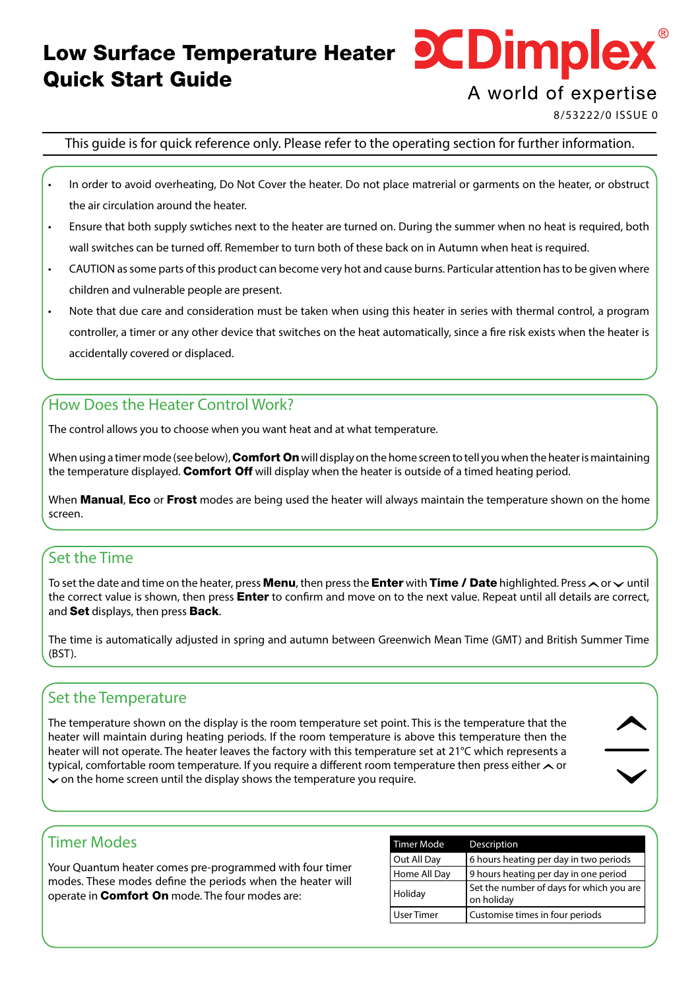# Low Surface Temperature Heater **DCDimpleX** Quick Start Guide

## A world of expertise

8/53222/0 ISSUE 0

This guide is for quick reference only. Please refer to the operating section for further information.

- In order to avoid overheating, Do Not Cover the heater. Do not place matrerial or garments on the heater, or obstruct the air circulation around the heater.
- Ensure that both supply swtiches next to the heater are turned on. During the summer when no heat is required, both wall switches can be turned off. Remember to turn both of these back on in Autumn when heat is required.
- CAUTION as some parts of this product can become very hot and cause burns. Particular attention has to be given where children and vulnerable people are present.
- Note that due care and consideration must be taken when using this heater in series with thermal control, a program controller, a timer or any other device that switches on the heat automatically, since a fire risk exists when the heater is accidentally covered or displaced.

#### How Does the Heater Control Work?

The control allows you to choose when you want heat and at what temperature.

When using a timer mode (see below), **Comfort On** will display on the home screen to tell you when the heater is maintaining the temperature displayed. **Comfort Off** will display when the heater is outside of a timed heating period.

When Manual, Eco or Frost modes are being used the heater will always maintain the temperature shown on the home screen.

#### Set the Time

To set the date and time on the heater, press **Menu**, then press the **Enter** with Time / Date highlighted. Press  $\sim$  or  $\sim$  until the correct value is shown, then press **Enter** to confirm and move on to the next value. Repeat until all details are correct, and Set displays, then press Back.

The time is automatically adjusted in spring and autumn between Greenwich Mean Time (GMT) and British Summer Time (BST).

#### Set the Temperature

The temperature shown on the display is the room temperature set point. This is the temperature that the heater will maintain during heating periods. If the room temperature is above this temperature then the heater will not operate. The heater leaves the factory with this temperature set at 21°C which represents a typical, comfortable room temperature. If you require a different room temperature then press either  $\sim$  or  $\sim$  on the home screen until the display shows the temperature you require.



#### Timer Modes

Your Quantum heater comes pre-programmed with four timer modes. These modes define the periods when the heater will operate in Comfort On mode. The four modes are:

| <b>Timer Mode</b> | Description                                            |
|-------------------|--------------------------------------------------------|
| Out All Day       | 6 hours heating per day in two periods                 |
| Home All Day      | 9 hours heating per day in one period                  |
| Holiday           | Set the number of days for which you are<br>on holiday |
| User Timer        | Customise times in four periods                        |